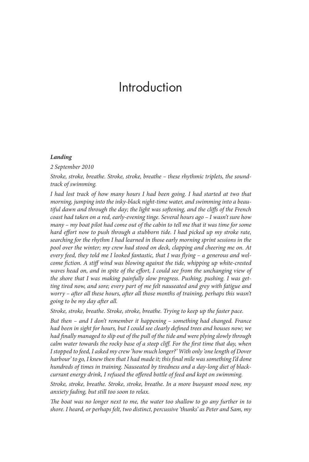# Introduction

#### *Landing*

 *2 September 2010* 

*Stroke, stroke, breathe. Stroke, stroke, breathe – these rhythmic triplets, the soundtrack of swimming.*

 *I had lost track of how many hours I had been going. I had started at two that morning, jumping into the inky-black night-time water, and swimming into a beau*tiful dawn and through the day; the light was softening, and the cliffs of the French *coast had taken on a red, early-evening tinge. Several hours ago – I wasn't sure how many – my boat pilot had come out of the cabin to tell me that it was time for some*  hard effort now to push through a stubborn tide. I had picked up my stroke rate, *searching for the rhythm I had learned in those early morning sprint sessions in the pool over the winter; my crew had stood on deck, clapping and cheering me on. At*  every feed, they told me I looked fantastic, that I was flying – a generous and wel*come fi ction. A stiff wind was blowing against the tide, whipping up white-crested waves head on, and in spite of the effort, I could see from the unchanging view of the shore that I was making painfully slow progress. Pushing, pushing. I was getting tired now, and sore; every part of me felt nauseated and grey with fatigue and worry – after all these hours, after all those months of training, perhaps this wasn't going to be my day after all.* 

 *Stroke, stroke, breathe. Stroke, stroke, breathe. Trying to keep up the faster pace.* 

 *But then – and I don't remember it happening – something had changed. France*  had been in sight for hours, but I could see clearly defined trees and houses now; we had finally managed to slip out of the pull of the tide and were plying slowly through *calm water towards the rocky base of a steep cliff. For the first time that day, when I stopped to feed, I asked my crew 'how much longer?' With only 'one length of Dover*  harbour' to go, I knew then that I had made it; this final mile was something I'd done *hundreds of times in training. Nauseated by tiredness and a day-long diet of blackcurrant energy drink, I refused the offered bottle of feed and kept on swimming.* 

 *Stroke, stroke, breathe. Stroke, stroke, breathe. In a more buoyant mood now, my anxiety fading, but still too soon to relax.* 

The boat was no longer next to me, the water too shallow to go any further in to *shore. I heard, or perhaps felt, two distinct, percussive 'thunks' as Peter and Sam, my*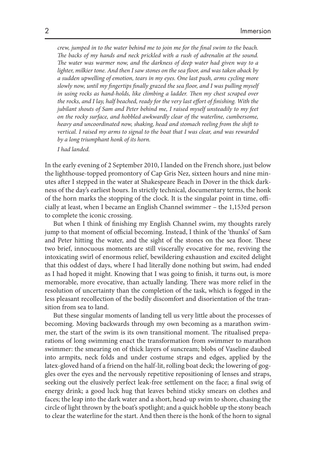*crew, jumped in to the water behind me to join me for the final swim to the beach.* The backs of my hands and neck prickled with a rush of adrenalin at the sound. The water was warmer now, and the darkness of deep water had given way to a lighter, milkier tone. And then I saw stones on the sea floor, and was taken aback by *a sudden upwelling of emotion, tears in my eyes. One last push, arms cycling more*  slowly now, until my fingertips finally grazed the sea floor, and I was pulling myself in using rocks as hand-holds, like climbing a ladder. Then my chest scraped over the rocks, and I lay, half beached, ready for the very last effort of finishing. With the *jubilant shouts of Sam and Peter behind me, I raised myself unsteadily to my feet on the rocky surface, and hobbled awkwardly clear of the waterline, cumbersome, heavy and uncoordinated now, shaking, head and stomach reeling from the shift to vertical. I raised my arms to signal to the boat that I was clear, and was rewarded by a long triumphant honk of its horn.* 

 *I had landed.* 

 In the early evening of 2 September 2010, I landed on the French shore, just below the lighthouse-topped promontory of Cap Gris Nez, sixteen hours and nine minutes after I stepped in the water at Shakespeare Beach in Dover in the thick darkness of the day's earliest hours. In strictly technical, documentary terms, the honk of the horn marks the stopping of the clock. It is the singular point in time, officially at least, when I became an English Channel swimmer – the 1,153rd person to complete the iconic crossing.

But when I think of finishing my English Channel swim, my thoughts rarely jump to that moment of official becoming. Instead, I think of the 'thunks' of Sam and Peter hitting the water, and the sight of the stones on the sea floor. These two brief, innocuous moments are still viscerally evocative for me, reviving the intoxicating swirl of enormous relief, bewildering exhaustion and excited delight that this oddest of days, where I had literally done nothing but swim, had ended as I had hoped it might. Knowing that I was going to finish, it turns out, is more memorable, more evocative, than actually landing. There was more relief in the resolution of uncertainty than the completion of the task, which is fogged in the less pleasant recollection of the bodily discomfort and disorientation of the transition from sea to land.

 But these singular moments of landing tell us very little about the processes of becoming. Moving backwards through my own becoming as a marathon swimmer, the start of the swim is its own transitional moment. The ritualised preparations of long swimming enact the transformation from swimmer to marathon swimmer: the smearing on of thick layers of suncream; blobs of Vaseline daubed into armpits, neck folds and under costume straps and edges, applied by the latex-gloved hand of a friend on the half-lit, rolling boat deck; the lowering of goggles over the eyes and the nervously repetitive repositioning of lenses and straps, seeking out the elusively perfect leak-free settlement on the face; a final swig of energy drink; a good luck hug that leaves behind sticky smears on clothes and faces; the leap into the dark water and a short, head-up swim to shore, chasing the circle of light thrown by the boat's spotlight; and a quick hobble up the stony beach to clear the waterline for the start. And then there is the honk of the horn to signal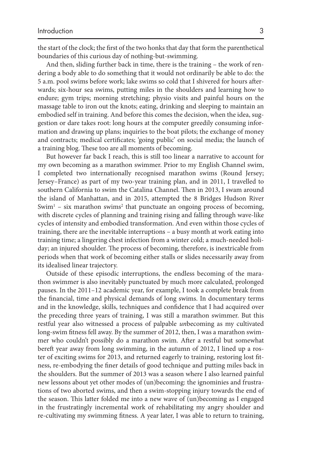the start of the clock; the first of the two honks that day that form the parenthetical boundaries of this curious day of nothing-but-swimming.

 And then, sliding further back in time, there is the training – the work of rendering a body able to do something that it would not ordinarily be able to do: the 5 a.m. pool swims before work; lake swims so cold that I shivered for hours afterwards; six-hour sea swims, putting miles in the shoulders and learning how to endure; gym trips; morning stretching; physio visits and painful hours on the massage table to iron out the knots; eating, drinking and sleeping to maintain an embodied self in training. And before this comes the decision, when the idea, suggestion or dare takes root: long hours at the computer greedily consuming information and drawing up plans; inquiries to the boat pilots; the exchange of money and contracts; medical certificates; 'going public' on social media; the launch of a training blog. These too are all moments of becoming.

 But however far back I reach, this is still too linear a narrative to account for my own becoming as a marathon swimmer. Prior to my English Channel swim, I completed two internationally recognised marathon swims (Round Jersey; Jersey–France) as part of my two-year training plan, and in 2011, I travelled to southern California to swim the Catalina Channel. Then in 2013, I swam around the island of Manhattan, and in 2015, attempted the 8 Bridges Hudson River Swim<sup>1</sup> – six marathon swims<sup>2</sup> that punctuate an ongoing process of becoming, with discrete cycles of planning and training rising and falling through wave-like cycles of intensity and embodied transformation. And even within those cycles of training, there are the inevitable interruptions – a busy month at work eating into training time; a lingering chest infection from a winter cold; a much-needed holiday; an injured shoulder. The process of becoming, therefore, is inextricable from periods when that work of becoming either stalls or slides necessarily away from its idealised linear trajectory.

 Outside of these episodic interruptions, the endless becoming of the marathon swimmer is also inevitably punctuated by much more calculated, prolonged pauses. In the 2011–12 academic year, for example, I took a complete break from the financial, time and physical demands of long swims. In documentary terms and in the knowledge, skills, techniques and confidence that I had acquired over the preceding three years of training, I was still a marathon swimmer. But this restful year also witnessed a process of palpable *un* becoming as my cultivated long-swim fitness fell away. By the summer of 2012, then, I was a marathon swimmer who couldn't possibly do a marathon swim. After a restful but somewhat bereft year away from long swimming, in the autumn of 2012, I lined up a roster of exciting swims for 2013, and returned eagerly to training, restoring lost fitness, re-embodying the finer details of good technique and putting miles back in the shoulders. But the summer of 2013 was a season where I also learned painful new lessons about yet other modes of (un)becoming: the ignominies and frustrations of two aborted swims, and then a swim-stopping injury towards the end of the season. This latter folded me into a new wave of (un)becoming as I engaged in the frustratingly incremental work of rehabilitating my angry shoulder and re-cultivating my swimming fitness. A year later, I was able to return to training,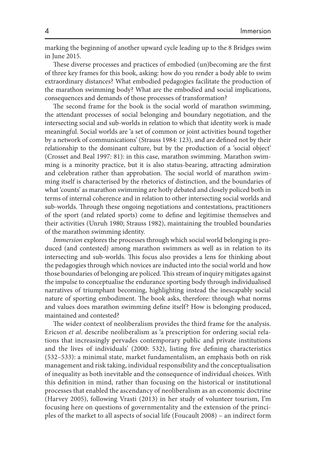marking the beginning of another upward cycle leading up to the 8 Bridges swim in June 2015.

These diverse processes and practices of embodied (un)becoming are the first of three key frames for this book, asking: how do you render a body able to swim extraordinary distances? What embodied pedagogies facilitate the production of the marathon swimming body? What are the embodied and social implications, consequences and demands of those processes of transformation?

The second frame for the book is the social world of marathon swimming, the attendant processes of social belonging and boundary negotiation, and the intersecting social and sub-worlds in relation to which that identity work is made meaningful. Social worlds are 'a set of common or joint activities bound together by a network of communications' (Strauss 1984: 123), and are defined not by their relationship to the dominant culture, but by the production of a 'social object' (Crosset and Beal 1997: 81): in this case, marathon swimming. Marathon swimming is a minority practice, but it is also status-bearing, attracting admiration and celebration rather than approbation. The social world of marathon swimming itself is characterised by the rhetorics of distinction, and the boundaries of what 'counts' as marathon swimming are hotly debated and closely policed both in terms of internal coherence and in relation to other intersecting social worlds and sub-worlds. Through these ongoing negotiations and contestations, practitioners of the sport (and related sports) come to define and legitimise themselves and their activities (Unruh 1980; Strauss 1982), maintaining the troubled boundaries of the marathon swimming identity.

*Immersion* explores the processes through which social world belonging is produced (and contested) among marathon swimmers as well as in relation to its intersecting and sub-worlds. This focus also provides a lens for thinking about the pedagogies through which novices are inducted into the social world and how those boundaries of belonging are policed. This stream of inquiry mitigates against the impulse to conceptualise the endurance sporting body through individualised narratives of triumphant becoming, highlighting instead the inescapably social nature of sporting embodiment. The book asks, therefore: through what norms and values does marathon swimming define itself? How is belonging produced, maintained and contested?

The wider context of neoliberalism provides the third frame for the analysis. Ericson *et al* . describe neoliberalism as 'a prescription for ordering social relations that increasingly pervades contemporary public and private institutions and the lives of individuals' (2000: 532), listing five defining characteristics (532–533): a minimal state, market fundamentalism, an emphasis both on risk management and risk taking, individual responsibility and the conceptualisation of inequality as both inevitable and the consequence of individual choices. With this definition in mind, rather than focusing on the historical or institutional processes that enabled the ascendancy of neoliberalism as an economic doctrine (Harvey 2005), following Vrasti  $(2013)$  in her study of volunteer tourism, I'm focusing here on questions of governmentality and the extension of the principles of the market to all aspects of social life (Foucault 2008 ) – an indirect form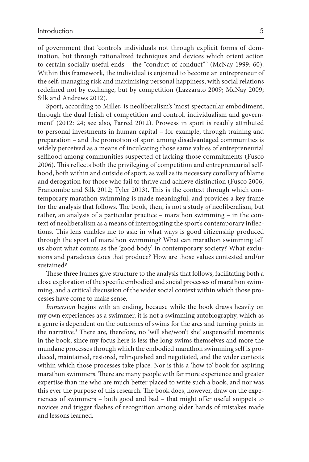of government that 'controls individuals not through explicit forms of domination, but through rationalized techniques and devices which orient action to certain socially useful ends – the "conduct of conduct"' (McNay 1999: 60). Within this framework, the individual is enjoined to become an entrepreneur of the self, managing risk and maximising personal happiness, with social relations redefined not by exchange, but by competition (Lazzarato 2009; McNay 2009; Silk and Andrews 2012).

 Sport, according to Miller, is neoliberalism's 'most spectacular embodiment, through the dual fetish of competition and control, individualism and government' (2012: 24; see also, Farred 2012 ). Prowess in sport is readily attributed to personal investments in human capital – for example, through training and preparation – and the promotion of sport among disadvantaged communities is widely perceived as a means of inculcating those same values of entrepreneurial selfhood among communities suspected of lacking those commitments (Fusco 2006). This reflects both the privileging of competition and entrepreneurial selfhood, both within and outside of sport, as well as its necessary corollary of blame and derogation for those who fail to thrive and achieve distinction (Fusco 2006; Francombe and Silk 2012; Tyler 2013). This is the context through which contemporary marathon swimming is made meaningful, and provides a key frame for the analysis that follows. The book, then, is not a study of neoliberalism, but rather, an analysis of a particular practice – marathon swimming – in the context of neoliberalism as a means of interrogating the sport's contemporary inflections. This lens enables me to ask: in what ways is good citizenship produced through the sport of marathon swimming? What can marathon swimming tell us about what counts as the 'good body' in contemporary society? What exclusions and paradoxes does that produce? How are those values contested and/or sustained?

These three frames give structure to the analysis that follows, facilitating both a close exploration of the specific embodied and social processes of marathon swimming, and a critical discussion of the wider social context within which those processes have come to make sense.

*Immersion* begins with an ending, because while the book draws heavily on my own experiences as a swimmer, it is not a swimming autobiography, which as a genre is dependent on the outcomes of swims for the arcs and turning points in the narrative.<sup>3</sup> There are, therefore, no 'will she/won't she' suspenseful moments in the book, since my focus here is less the long swims themselves and more the mundane processes through which the embodied marathon swimming self is produced, maintained, restored, relinquished and negotiated, and the wider contexts within which those processes take place. Nor is this a 'how to' book for aspiring marathon swimmers. There are many people with far more experience and greater expertise than me who are much better placed to write such a book, and nor was this ever the purpose of this research. The book does, however, draw on the experiences of swimmers - both good and bad - that might offer useful snippets to novices and trigger flashes of recognition among older hands of mistakes made and lessons learned.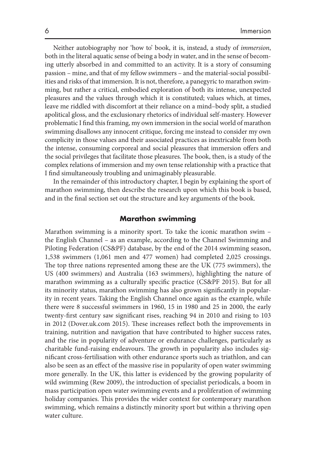Neither autobiography nor 'how to' book, it is, instead, a study of *immersion* , both in the literal aquatic sense of being a body in water, and in the sense of becoming utterly absorbed in and committed to an activity. It is a story of consuming passion – mine, and that of my fellow swimmers – and the material-social possibilities and risks of that immersion. It is not, therefore, a panegyric to marathon swimming, but rather a critical, embodied exploration of both its intense, unexpected pleasures and the values through which it is constituted; values which, at times, leave me riddled with discomfort at their reliance on a mind–body split, a studied apolitical gloss, and the exclusionary rhetorics of individual self-mastery. However problematic I find this framing, my own immersion in the social world of marathon swimming disallows any innocent critique, forcing me instead to consider my own complicity in those values and their associated practices as inextricable from both the intense, consuming corporeal and social pleasures that immersion offers and the social privileges that facilitate those pleasures. The book, then, is a study of the complex relations of immersion and my own tense relationship with a practice that I find simultaneously troubling and unimaginably pleasurable.

 In the remainder of this introductory chapter, I begin by explaining the sport of marathon swimming, then describe the research upon which this book is based, and in the final section set out the structure and key arguments of the book.

## **Marathon swimming**

 Marathon swimming is a minority sport. To take the iconic marathon swim – the English Channel – as an example, according to the Channel Swimming and Piloting Federation (CS&PF) database, by the end of the 2014 swimming season, 1,538 swimmers (1,061 men and 477 women) had completed 2,025 crossings. The top three nations represented among these are the UK (775 swimmers), the US (400 swimmers) and Australia (163 swimmers), highlighting the nature of marathon swimming as a culturally specific practice (CS&PF 2015). But for all its minority status, marathon swimming has also grown significantly in popularity in recent years. Taking the English Channel once again as the example, while there were 8 successful swimmers in 1960, 15 in 1980 and 25 in 2000, the early twenty-first century saw significant rises, reaching 94 in 2010 and rising to 103 in 2012 (Dover.uk.com 2015). These increases reflect both the improvements in training, nutrition and navigation that have contributed to higher success rates, and the rise in popularity of adventure or endurance challenges, particularly as charitable fund-raising endeavours. The growth in popularity also includes significant cross-fertilisation with other endurance sports such as triathlon, and can also be seen as an effect of the massive rise in popularity of open water swimming more generally. In the UK, this latter is evidenced by the growing popularity of wild swimming (Rew 2009), the introduction of specialist periodicals, a boom in mass participation open water swimming events and a proliferation of swimming holiday companies. This provides the wider context for contemporary marathon swimming, which remains a distinctly minority sport but within a thriving open water culture.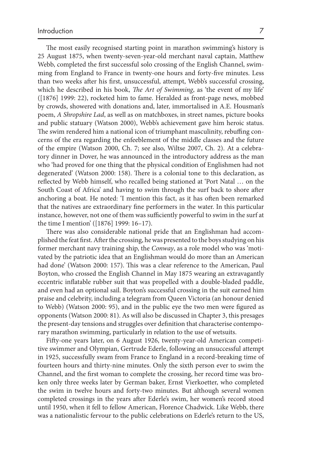The most easily recognised starting point in marathon swimming's history is 25 August 1875, when twenty-seven-year-old merchant naval captain, Matthew Webb, completed the first successful solo crossing of the English Channel, swimming from England to France in twenty-one hours and forty-five minutes. Less than two weeks after his first, unsuccessful, attempt, Webb's successful crossing, which he described in his book, *The Art of Swimming*, as 'the event of my life'  $([1876] 1999: 22)$ , rocketed him to fame. Heralded as front-page news, mobbed by crowds, showered with donations and, later, immortalised in A.E. Housman's poem, *A Shropshire Lad* , as well as on matchboxes, in street names, picture books and public statuary (Watson 2000 ), Webb's achievement gave him heroic status. The swim rendered him a national icon of triumphant masculinity, rebuffing concerns of the era regarding the enfeeblement of the middle classes and the future of the empire (Watson 2000, Ch. 7; see also, Wiltse 2007, Ch. 2). At a celebratory dinner in Dover, he was announced in the introductory address as the man who 'had proved for one thing that the physical condition of Englishmen had not degenerated' (Watson 2000: 158). There is a colonial tone to this declaration, as reflected by Webb himself, who recalled being stationed at 'Port Natal ... on the South Coast of Africa' and having to swim through the surf back to shore after anchoring a boat. He noted: 'I mention this fact, as it has often been remarked that the natives are extraordinary fine performers in the water. In this particular instance, however, not one of them was sufficiently powerful to swim in the surf at the time I mention' ([1876] 1999: 16–17).

There was also considerable national pride that an Englishman had accomplished the feat first. After the crossing, he was presented to the boys studying on his former merchant navy training ship, the *Conway* , as a role model who was 'motivated by the patriotic idea that an Englishman would do more than an American had done' (Watson 2000: 157). This was a clear reference to the American, Paul Boyton, who crossed the English Channel in May 1875 wearing an extravagantly eccentric inflatable rubber suit that was propelled with a double-bladed paddle, and even had an optional sail. Boyton's successful crossing in the suit earned him praise and celebrity, including a telegram from Queen Victoria (an honour denied to Webb) (Watson 2000: 95), and in the public eye the two men were figured as opponents (Watson 2000: 81). As will also be discussed in Chapter 3 , this presages the present-day tensions and struggles over definition that characterise contemporary marathon swimming, particularly in relation to the use of wetsuits.

Fifty-one years later, on 6 August 1926, twenty-year-old American competitive swimmer and Olympian, Gertrude Ederle, following an unsuccessful attempt in 1925, successfully swam from France to England in a record-breaking time of fourteen hours and thirty-nine minutes. Only the sixth person ever to swim the Channel, and the first woman to complete the crossing, her record time was broken only three weeks later by German baker, Ernst Vierkoetter, who completed the swim in twelve hours and forty-two minutes. But although several women completed crossings in the years after Ederle's swim, her women's record stood until 1950, when it fell to fellow American, Florence Chadwick. Like Webb, there was a nationalistic fervour to the public celebrations on Ederle's return to the US,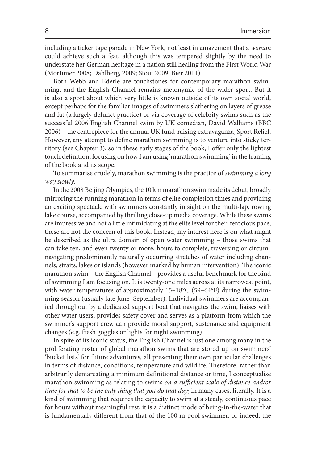including a ticker tape parade in New York, not least in amazement that a *woman* could achieve such a feat, although this was tempered slightly by the need to understate her German heritage in a nation still healing from the First World War (Mortimer 2008; Dahlberg, 2009; Stout 2009; Bier 2011).

 Both Webb and Ederle are touchstones for contemporary marathon swimming, and the English Channel remains metonymic of the wider sport. But it is also a sport about which very little is known outside of its own social world, except perhaps for the familiar images of swimmers slathering on layers of grease and fat (a largely defunct practice) or via coverage of celebrity swims such as the successful 2006 English Channel swim by UK comedian, David Walliams (BBC 2006 ) – the centrepiece for the annual UK fund-raising extravaganza, Sport Relief. However, any attempt to define marathon swimming is to venture into sticky territory (see Chapter 3), so in these early stages of the book, I offer only the lightest touch definition, focusing on how I am using 'marathon swimming' in the framing of the book and its scope.

 To summarise crudely, marathon swimming is the practice of *swimming a long way slowly* .

 In the 2008 Beijing Olympics, the 10 km marathon swim made its debut, broadly mirroring the running marathon in terms of elite completion times and providing an exciting spectacle with swimmers constantly in sight on the multi-lap, rowing lake course, accompanied by thrilling close-up media coverage. While these swims are impressive and not a little intimidating at the elite level for their ferocious pace, these are not the concern of this book. Instead, my interest here is on what might be described as the ultra domain of open water swimming – those swims that can take ten, and even twenty or more, hours to complete, traversing or circumnavigating predominantly naturally occurring stretches of water including channels, straits, lakes or islands (however marked by human intervention). The iconic marathon swim – the English Channel – provides a useful benchmark for the kind of swimming I am focusing on. It is twenty-one miles across at its narrowest point, with water temperatures of approximately  $15-18^{\circ}C$  (59–64 $^{\circ}F$ ) during the swimming season (usually late June–September). Individual swimmers are accompanied throughout by a dedicated support boat that navigates the swim, liaises with other water users, provides safety cover and serves as a platform from which the swimmer's support crew can provide moral support, sustenance and equipment changes (e.g. fresh goggles or lights for night swimming).

 In spite of its iconic status, the English Channel is just one among many in the proliferating roster of global marathon swims that are stored up on swimmers' 'bucket lists' for future adventures, all presenting their own particular challenges in terms of distance, conditions, temperature and wildlife. Therefore, rather than arbitrarily demarcating a minimum definitional distance or time, I conceptualise marathon swimming as relating to swims *on a sufficient scale of distance and/or time for that to be the only thing that you do that day* ; in many cases, literally. It is a kind of swimming that requires the capacity to swim at a steady, continuous pace for hours without meaningful rest; it is a distinct mode of being-in-the-water that is fundamentally different from that of the 100 m pool swimmer, or indeed, the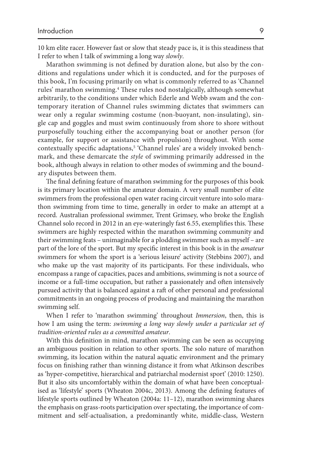10 km elite racer. However fast or slow that steady pace is, it is this steadiness that I refer to when I talk of swimming a long way *slowly* .

Marathon swimming is not defined by duration alone, but also by the conditions and regulations under which it is conducted, and for the purposes of this book, I'm focusing primarily on what is commonly referred to as 'Channel rules' marathon swimming.<sup>4</sup> These rules nod nostalgically, although somewhat arbitrarily, to the conditions under which Ederle and Webb swam and the contemporary iteration of Channel rules swimming dictates that swimmers can wear only a regular swimming costume (non-buoyant, non-insulating), single cap and goggles and must swim continuously from shore to shore without purposefully touching either the accompanying boat or another person (for example, for support or assistance with propulsion) throughout. With some contextually specific adaptations,<sup>5</sup> 'Channel rules' are a widely invoked benchmark, and these demarcate the *style* of swimming primarily addressed in the book, although always in relation to other modes of swimming and the boundary disputes between them.

The final defining feature of marathon swimming for the purposes of this book is its primary location within the amateur domain. A very small number of elite swimmers from the professional open water racing circuit venture into solo marathon swimming from time to time, generally in order to make an attempt at a record. Australian professional swimmer, Trent Grimsey, who broke the English Channel solo record in 2012 in an eye-wateringly fast 6.55, exemplifies this. These swimmers are highly respected within the marathon swimming community and their swimming feats – unimaginable for a plodding swimmer such as myself – are part of the lore of the sport. But my specific interest in this book is in the *amateur* swimmers for whom the sport is a 'serious leisure' activity (Stebbins 2007 ), and who make up the vast majority of its participants. For these individuals, who encompass a range of capacities, paces and ambitions, swimming is not a source of income or a full-time occupation, but rather a passionately and often intensively pursued activity that is balanced against a raft of other personal and professional commitments in an ongoing process of producing and maintaining the marathon swimming self.

When I refer to 'marathon swimming' throughout *Immersion*, then, this is how I am using the term: *swimming a long way slowly under a particular set of tradition-oriented rules as a committed amateur* .

With this definition in mind, marathon swimming can be seen as occupying an ambiguous position in relation to other sports. The solo nature of marathon swimming, its location within the natural aquatic environment and the primary focus on finishing rather than winning distance it from what Atkinson describes as 'hyper-competitive, hierarchical and patriarchal modernist sport' (2010: 1250). But it also sits uncomfortably within the domain of what have been conceptualised as 'lifestyle' sports (Wheaton 2004c, 2013). Among the defining features of lifestyle sports outlined by Wheaton (2004a: 11-12), marathon swimming shares the emphasis on grass-roots participation over spectating, the importance of commitment and self-actualisation, a predominantly white, middle-class, Western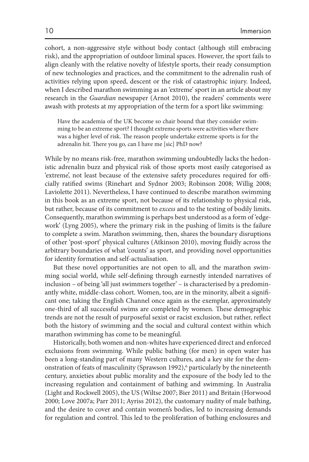cohort, a non-aggressive style without body contact (although still embracing risk), and the appropriation of outdoor liminal spaces. However, the sport fails to align cleanly with the relative novelty of lifestyle sports, their ready consumption of new technologies and practices, and the commitment to the adrenalin rush of activities relying upon speed, descent or the risk of catastrophic injury. Indeed, when I described marathon swimming as an 'extreme' sport in an article about my research in the *Guardian* newspaper (Arnot 2010 ), the readers' comments were awash with protests at my appropriation of the term for a sport like swimming:

 Have the academia of the UK become so chair bound that they consider swimming to be an extreme sport? I thought extreme sports were activities where there was a higher level of risk. The reason people undertake extreme sports is for the adrenalin hit. There you go, can I have me [sic] PhD now?

 While by no means risk-free, marathon swimming undoubtedly lacks the hedonistic adrenalin buzz and physical risk of those sports most easily categorised as 'extreme', not least because of the extensive safety procedures required for officially ratified swims (Rinehart and Sydnor 2003; Robinson 2008; Willig 2008; Laviolette 2011 ). Nevertheless, I have continued to describe marathon swimming in this book as an extreme sport, not because of its relationship to physical risk, but rather, because of its commitment to *excess* and to the testing of bodily limits. Consequently, marathon swimming is perhaps best understood as a form of 'edgework' (Lyng 2005), where the primary risk in the pushing of limits is the failure to complete a swim. Marathon swimming, then, shares the boundary disruptions of other 'post-sport' physical cultures (Atkinson 2010), moving fluidly across the arbitrary boundaries of what 'counts' as sport, and providing novel opportunities for identity formation and self-actualisation.

 But these novel opportunities are not open to all, and the marathon swimming social world, while self-defining through earnestly intended narratives of inclusion – of being 'all just swimmers together' – is characterised by a predominantly white, middle-class cohort. Women, too, are in the minority, albeit a significant one; taking the English Channel once again as the exemplar, approximately one-third of all successful swims are completed by women. These demographic trends are not the result of purposeful sexist or racist exclusion, but rather, reflect both the history of swimming and the social and cultural context within which marathon swimming has come to be meaningful.

 Historically, both women and non-whites have experienced direct and enforced exclusions from swimming. While public bathing (for men) in open water has been a long-standing part of many Western cultures, and a key site for the demonstration of feats of masculinity (Sprawson 1992),<sup>6</sup> particularly by the nineteenth century, anxieties about public morality and the exposure of the body led to the increasing regulation and containment of bathing and swimming. In Australia (Light and Rockwell 2005), the US (Wiltse 2007; Bier 2011) and Britain (Horwood 2000; Love 2007a; Parr 2011; Ayriss 2012), the customary nudity of male bathing, and the desire to cover and contain women's bodies, led to increasing demands for regulation and control. This led to the proliferation of bathing enclosures and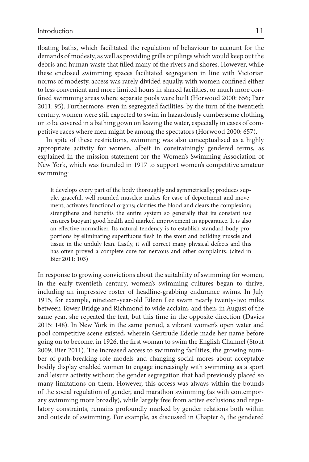floating baths, which facilitated the regulation of behaviour to account for the demands of modesty, as well as providing grills or pilings which would keep out the debris and human waste that filled many of the rivers and shores. However, while these enclosed swimming spaces facilitated segregation in line with Victorian norms of modesty, access was rarely divided equally, with women confined either to less convenient and more limited hours in shared facilities, or much more confined swimming areas where separate pools were built (Horwood 2000: 656; Parr 2011 : 95). Furthermore, even in segregated facilities, by the turn of the twentieth century, women were still expected to swim in hazardously cumbersome clothing or to be covered in a bathing gown on leaving the water, especially in cases of competitive races where men might be among the spectators (Horwood 2000: 657).

 In spite of these restrictions, swimming was also conceptualised as a highly appropriate activity for women, albeit in constrainingly gendered terms, as explained in the mission statement for the Women's Swimming Association of New York, which was founded in 1917 to support women's competitive amateur swimming:

 It develops every part of the body thoroughly and symmetrically; produces supple, graceful, well-rounded muscles; makes for ease of deportment and movement; activates functional organs; clarifies the blood and clears the complexion; strengthens and benefits the entire system so generally that its constant use ensures buoyant good health and marked improvement in appearance. It is also an effective normaliser. Its natural tendency is to establish standard body proportions by eliminating superfluous flesh in the stout and building muscle and tissue in the unduly lean. Lastly, it will correct many physical defects and this has often proved a complete cure for nervous and other complaints. (cited in Bier 2011: 103)

 In response to growing convictions about the suitability of swimming for women, in the early twentieth century, women's swimming cultures began to thrive, including an impressive roster of headline-grabbing endurance swims. In July 1915, for example, nineteen-year-old Eileen Lee swam nearly twenty-two miles between Tower Bridge and Richmond to wide acclaim, and then, in August of the same year, she repeated the feat, but this time in the opposite direction (Davies 2015: 148). In New York in the same period, a vibrant women's open water and pool competitive scene existed, wherein Gertrude Ederle made her name before going on to become, in 1926, the first woman to swim the English Channel (Stout 2009; Bier 2011). The increased access to swimming facilities, the growing number of path-breaking role models and changing social mores about acceptable bodily display enabled women to engage increasingly with swimming as a sport and leisure activity without the gender segregation that had previously placed so many limitations on them. However, this access was always within the bounds of the social regulation of gender, and marathon swimming (as with contemporary swimming more broadly), while largely free from active exclusions and regulatory constraints, remains profoundly marked by gender relations both within and outside of swimming. For example, as discussed in Chapter 6, the gendered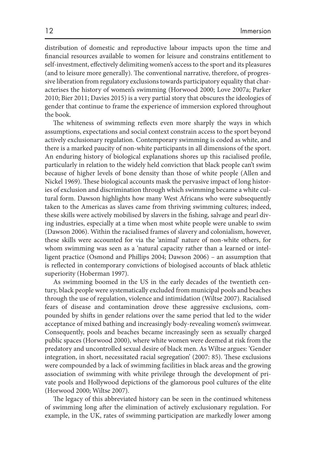distribution of domestic and reproductive labour impacts upon the time and financial resources available to women for leisure and constrains entitlement to self-investment, effectively delimiting women's access to the sport and its pleasures (and to leisure more generally). The conventional narrative, therefore, of progressive liberation from regulatory exclusions towards participatory equality that characterises the history of women's swimming (Horwood 2000; Love 2007a; Parker 2010 ; Bier 2011 ; Davies 2015 ) is a very partial story that obscures the ideologies of gender that continue to frame the experience of immersion explored throughout the book.

The whiteness of swimming reflects even more sharply the ways in which assumptions, expectations and social context constrain access to the sport beyond actively exclusionary regulation. Contemporary swimming is coded as white, and there is a marked paucity of non-white participants in all dimensions of the sport. An enduring history of biological explanations shores up this racialised profile, particularly in relation to the widely held conviction that black people can't swim because of higher levels of bone density than those of white people (Allen and Nickel 1969). These biological accounts mask the pervasive impact of long histories of exclusion and discrimination through which swimming became a white cultural form. Dawson highlights how many West Africans who were subsequently taken to the Americas as slaves came from thriving swimming cultures; indeed, these skills were actively mobilised by slavers in the fishing, salvage and pearl diving industries, especially at a time when most white people were unable to swim (Dawson 2006). Within the racialised frames of slavery and colonialism, however, these skills were accounted for via the 'animal' nature of non-white others, for whom swimming was seen as a 'natural capacity rather than a learned or intelligent practice (Osmond and Phillips  $2004$ ; Dawson  $2006$ ) – an assumption that is reflected in contemporary convictions of biologised accounts of black athletic superiority (Hoberman 1997).

 As swimming boomed in the US in the early decades of the twentieth century, black people were systematically excluded from municipal pools and beaches through the use of regulation, violence and intimidation (Wiltse 2007). Racialised fears of disease and contamination drove these aggressive exclusions, compounded by shifts in gender relations over the same period that led to the wider acceptance of mixed bathing and increasingly body-revealing women's swimwear. Consequently, pools and beaches became increasingly seen as sexually charged public spaces (Horwood 2000), where white women were deemed at risk from the predatory and uncontrolled sexual desire of black men. As Wiltse argues: 'Gender integration, in short, necessitated racial segregation' (2007: 85). These exclusions were compounded by a lack of swimming facilities in black areas and the growing association of swimming with white privilege through the development of private pools and Hollywood depictions of the glamorous pool cultures of the elite (Horwood 2000; Wiltse 2007).

The legacy of this abbreviated history can be seen in the continued whiteness of swimming long after the elimination of actively exclusionary regulation. For example, in the UK, rates of swimming participation are markedly lower among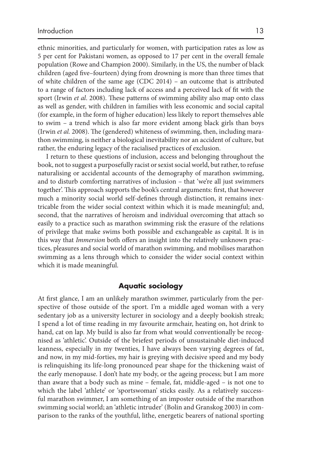ethnic minorities, and particularly for women, with participation rates as low as 5 per cent for Pakistani women, as opposed to 17 per cent in the overall female population (Rowe and Champion 2000 ). Similarly, in the US, the number of black children (aged five–fourteen) dying from drowning is more than three times that of white children of the same age (CDC 2014) - an outcome that is attributed to a range of factors including lack of access and a perceived lack of fit with the sport (Irwin *et al.* 2008). These patterns of swimming ability also map onto class as well as gender, with children in families with less economic and social capital (for example, in the form of higher education) less likely to report themselves able to swim – a trend which is also far more evident among black girls than boys (Irwin et al. 2008). The (gendered) whiteness of swimming, then, including marathon swimming, is neither a biological inevitability nor an accident of culture, but rather, the enduring legacy of the racialised practices of exclusion.

 I return to these questions of inclusion, access and belonging throughout the book, not to suggest a purposefully racist or sexist social world, but rather, to refuse naturalising or accidental accounts of the demography of marathon swimming, and to disturb comforting narratives of inclusion – that 'we're all just swimmers together'. This approach supports the book's central arguments: first, that however much a minority social world self-defines through distinction, it remains inextricable from the wider social context within which it is made meaningful; and, second, that the narratives of heroism and individual overcoming that attach so easily to a practice such as marathon swimming risk the erasure of the relations of privilege that make swims both possible and exchangeable as capital. It is in this way that *Immersion* both offers an insight into the relatively unknown practices, pleasures and social world of marathon swimming, and mobilises marathon swimming as a lens through which to consider the wider social context within which it is made meaningful.

## **Aquatic sociology**

At first glance, I am an unlikely marathon swimmer, particularly from the perspective of those outside of the sport. I'm a middle aged woman with a very sedentary job as a university lecturer in sociology and a deeply bookish streak; I spend a lot of time reading in my favourite armchair, heating on, hot drink to hand, cat on lap. My build is also far from what would conventionally be recognised as 'athletic'. Outside of the briefest periods of unsustainable diet-induced leanness, especially in my twenties, I have always been varying degrees of fat, and now, in my mid-forties, my hair is greying with decisive speed and my body is relinquishing its life-long pronounced pear shape for the thickening waist of the early menopause. I don't hate my body, or the ageing process; but I am more than aware that a body such as mine – female, fat, middle-aged – is not one to which the label 'athlete' or 'sportswoman' sticks easily. As a relatively successful marathon swimmer, I am something of an imposter outside of the marathon swimming social world; an 'athletic intruder' (Bolin and Granskog 2003) in comparison to the ranks of the youthful, lithe, energetic bearers of national sporting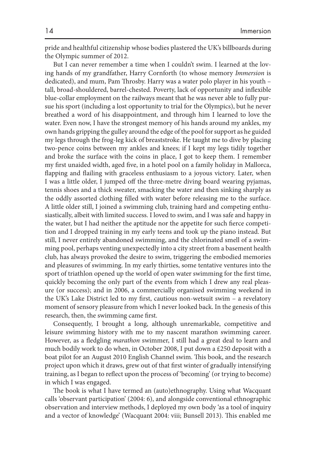pride and healthful citizenship whose bodies plastered the UK's billboards during the Olympic summer of 2012.

 But I can never remember a time when I couldn't swim. I learned at the loving hands of my grandfather, Harry Cornforth (to whose memory *Immersion* is dedicated), and mum, Pam Throsby. Harry was a water polo player in his youth tall, broad-shouldered, barrel-chested. Poverty, lack of opportunity and inflexible blue-collar employment on the railways meant that he was never able to fully pursue his sport (including a lost opportunity to trial for the Olympics), but he never breathed a word of his disappointment, and through him I learned to love the water. Even now, I have the strongest memory of his hands around my ankles, my own hands gripping the gulley around the edge of the pool for support as he guided my legs through the frog-leg kick of breaststroke. He taught me to dive by placing two-pence coins between my ankles and knees; if I kept my legs tidily together and broke the surface with the coins in place, I got to keep them. I remember my first unaided width, aged five, in a hotel pool on a family holiday in Mallorca, flapping and flailing with graceless enthusiasm to a joyous victory. Later, when I was a little older, I jumped off the three-metre diving board wearing pyjamas, tennis shoes and a thick sweater, smacking the water and then sinking sharply as the oddly assorted clothing filled with water before releasing me to the surface. A little older still, I joined a swimming club, training hard and competing enthusiastically, albeit with limited success. I loved to swim, and I was safe and happy in the water, but I had neither the aptitude nor the appetite for such fierce competition and I dropped training in my early teens and took up the piano instead. But still, I never entirely abandoned swimming, and the chlorinated smell of a swimming pool, perhaps venting unexpectedly into a city street from a basement health club, has always provoked the desire to swim, triggering the embodied memories and pleasures of swimming. In my early thirties, some tentative ventures into the sport of triathlon opened up the world of open water swimming for the first time, quickly becoming the only part of the events from which I drew any real pleasure (or success); and in 2006, a commercially organised swimming weekend in the UK's Lake District led to my first, cautious non-wetsuit swim - a revelatory moment of sensory pleasure from which I never looked back. In the genesis of this research, then, the swimming came first.

 Consequently, I brought a long, although unremarkable, competitive and leisure swimming history with me to my nascent marathon swimming career. However, as a fledgling *marathon* swimmer, I still had a great deal to learn and much bodily work to do when, in October 2008, I put down a £250 deposit with a boat pilot for an August 2010 English Channel swim. This book, and the research project upon which it draws, grew out of that first winter of gradually intensifying training, as I began to reflect upon the process of 'becoming' (or trying to become) in which I was engaged.

The book is what I have termed an (auto)ethnography. Using what Wacquant calls 'observant participation' (2004: 6), and alongside conventional ethnographic observation and interview methods, I deployed my own body 'as a tool of inquiry and a vector of knowledge' (Wacquant 2004: viii; Bunsell 2013). This enabled me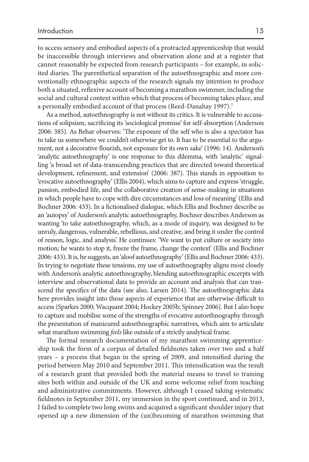to access sensory and embodied aspects of a protracted apprenticeship that would be inaccessible through interviews and observation alone and at a register that cannot reasonably be expected from research participants – for example, in solicited diaries. The parenthetical separation of the autoethnographic and more conventionally ethnographic aspects of the research signals my intention to produce both a situated, reflexive account of becoming a marathon swimmer, including the social and cultural context within which that process of becoming takes place, and a personally embodied account of that process (Reed-Danahay 1997).<sup>7</sup>

 As a method, autoethnography is not without its critics. It is vulnerable to accusations of solipsism, sacrificing its 'sociological promise' for self-absorption (Anderson 2006: 385). As Behar observes: 'The exposure of the self who is also a spectator has to take us somewhere we couldn't otherwise get to. It has to be essential to the argument, not a decorative flourish, not exposure for its own sake' (1996: 14). Anderson's 'analytic autoethnography' is one response to this dilemma, with 'analytic' signalling 'a broad set of data-transcending practices that are directed toward theoretical development, refinement, and extension' (2006: 387). This stands in opposition to 'evocative autoethnography' (Ellis 2004), which aims to capture and express 'struggle, passion, embodied life, and the collaborative creation of sense-making in situations in which people have to cope with dire circumstances and loss of meaning' (Ellis and Bochner 2006: 433). In a fictionalised dialogue, which Ellis and Bochner describe as an 'autopsy' of Anderson's analytic autoethnography, Bochner describes Anderson as wanting 'to take autoethnography, which, as a mode of inquiry, was designed to be unruly, dangerous, vulnerable, rebellious, and creative, and bring it under the control of reason, logic, and analysis'. He continues: 'We want to put culture or society into motion; he wants to stop it, freeze the frame, change the context' (Ellis and Bochner 2006: 433). It is, he suggests, an 'aloof autoethnography' (Ellis and Bochner 2006: 433). In trying to negotiate these tensions, my use of autoethnography aligns most closely with Anderson's analytic autoethnography, blending autoethnographic excerpts with interview and observational data to provide an account and analysis that can transcend the specifics of the data (see also, Larsen 2014). The autoethnographic data here provides insight into those aspects of experience that are otherwise difficult to access (Sparkes 2000; Wacquant 2004; Hockey 2005b; Spinney 2006). But I also hope to capture and mobilise some of the strengths of evocative autoethnography through the presentation of manicured autoethnographic narratives, which aim to articulate what marathon swimming *feels* like outside of a strictly analytical frame.

The formal research documentation of my marathon swimming apprenticeship took the form of a corpus of detailed fieldnotes taken over two and a half years – a process that began in the spring of 2009, and intensified during the period between May 2010 and September 2011. This intensification was the result of a research grant that provided both the material means to travel to training sites both within and outside of the UK and some welcome relief from teaching and administrative commitments. However, although I ceased taking systematic fieldnotes in September 2011, my immersion in the sport continued, and in 2013, I failed to complete two long swims and acquired a significant shoulder injury that opened up a new dimension of the (un)becoming of marathon swimming that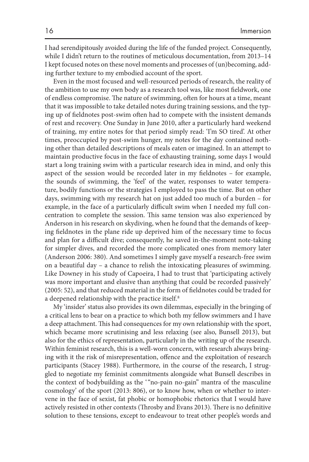I had serendipitously avoided during the life of the funded project. Consequently, while I didn't return to the routines of meticulous documentation, from 2013–14 I kept focused notes on these novel moments and processes of (un)becoming, adding further texture to my embodied account of the sport.

 Even in the most focused and well-resourced periods of research, the reality of the ambition to use my own body as a research tool was, like most fieldwork, one of endless compromise. The nature of swimming, often for hours at a time, meant that it was impossible to take detailed notes during training sessions, and the typing up of fieldnotes post-swim often had to compete with the insistent demands of rest and recovery. One Sunday in June 2010, after a particularly hard weekend of training, my entire notes for that period simply read: 'I'm SO tired'. At other times, preoccupied by post-swim hunger, my notes for the day contained nothing other than detailed descriptions of meals eaten or imagined. In an attempt to maintain productive focus in the face of exhausting training, some days I would start a long training swim with a particular research idea in mind, and only this aspect of the session would be recorded later in my fieldnotes  $-$  for example, the sounds of swimming, the 'feel' of the water, responses to water temperature, bodily functions or the strategies I employed to pass the time. But on other days, swimming with my research hat on just added too much of a burden – for example, in the face of a particularly difficult swim when I needed my full concentration to complete the session. This same tension was also experienced by Anderson in his research on skydiving, when he found that the demands of keeping fieldnotes in the plane ride up deprived him of the necessary time to focus and plan for a difficult dive; consequently, he saved in-the-moment note-taking for simpler dives, and recorded the more complicated ones from memory later (Anderson 2006: 380). And sometimes I simply gave myself a research-free swim on a beautiful day – a chance to relish the intoxicating pleasures of swimming. Like Downey in his study of Capoeira, I had to trust that 'participating actively was more important and elusive than anything that could be recorded passively' (2005: 52), and that reduced material in the form of fieldnotes could be traded for a deepened relationship with the practice itself.<sup>8</sup>

 My 'insider' status also provides its own dilemmas, especially in the bringing of a critical lens to bear on a practice to which both my fellow swimmers and I have a deep attachment. This had consequences for my own relationship with the sport, which became more scrutinising and less relaxing (see also, Bunsell 2013), but also for the ethics of representation, particularly in the writing up of the research. Within feminist research, this is a well-worn concern, with research always bringing with it the risk of misrepresentation, offence and the exploitation of research participants (Stacey 1988). Furthermore, in the course of the research, I struggled to negotiate my feminist commitments alongside what Bunsell describes in the context of bodybuilding as the "no-pain no-gain" mantra of the masculine cosmology' of the sport (2013: 806), or to know how, when or whether to intervene in the face of sexist, fat phobic or homophobic rhetorics that I would have actively resisted in other contexts (Throsby and Evans 2013). There is no definitive solution to these tensions, except to endeavour to treat other people's words and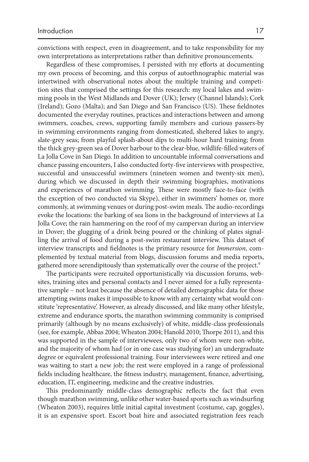convictions with respect, even in disagreement, and to take responsibility for my own interpretations as interpretations rather than definitive pronouncements.

Regardless of these compromises, I persisted with my efforts at documenting my own process of becoming, and this corpus of autoethnographic material was intertwined with observational notes about the multiple training and competition sites that comprised the settings for this research: my local lakes and swimming pools in the West Midlands and Dover (UK); Jersey (Channel Islands); Cork (Ireland); Gozo (Malta); and San Diego and San Francisco (US). These fieldnotes documented the everyday routines, practices and interactions between and among swimmers, coaches, crews, supporting family members and curious passers-by in swimming environments ranging from domesticated, sheltered lakes to angry, slate-grey seas; from playful splash-about dips to multi-hour hard training; from the thick grey-green sea of Dover harbour to the clear-blue, wildlife-filled waters of La Jolla Cove in San Diego. In addition to uncountable informal conversations and chance passing encounters, I also conducted forty-five interviews with prospective, successful and unsuccessful swimmers (nineteen women and twenty-six men), during which we discussed in depth their swimming biographies, motivations and experiences of marathon swimming. These were mostly face-to-face (with the exception of two conducted via Skype), either in swimmers' homes or, more commonly, at swimming venues or during post-swim meals. The audio-recordings evoke the locations: the barking of sea lions in the background of interviews at La Jolla Cove; the rain hammering on the roof of my campervan during an interview in Dover; the glugging of a drink being poured or the chinking of plates signalling the arrival of food during a post-swim restaurant interview. This dataset of interview transcripts and fieldnotes is the primary resource for *Immersion*, complemented by textual material from blogs, discussion forums and media reports, gathered more serendipitously than systematically over the course of the project.<sup>9</sup>

The participants were recruited opportunistically via discussion forums, websites, training sites and personal contacts and I never aimed for a fully representative sample – not least because the absence of detailed demographic data for those attempting swims makes it impossible to know with any certainty what would constitute 'representative'. However, as already discussed, and like many other lifestyle, extreme and endurance sports, the marathon swimming community is comprised primarily (although by no means exclusively) of white, middle-class professionals (see, for example, Abbas 2004; Wheaton 2004; Hanold 2010; Thorpe 2011), and this was supported in the sample of interviewees, only two of whom were non-white, and the majority of whom had (or in one case was studying for) an undergraduate degree or equivalent professional training. Four interviewees were retired and one was waiting to start a new job; the rest were employed in a range of professional fields including healthcare, the fitness industry, management, finance, advertising, education, IT, engineering, medicine and the creative industries.

This predominantly middle-class demographic reflects the fact that even though marathon swimming, unlike other water-based sports such as windsurfing (Wheaton 2003), requires little initial capital investment (costume, cap, goggles), it is an expensive sport. Escort boat hire and associated registration fees reach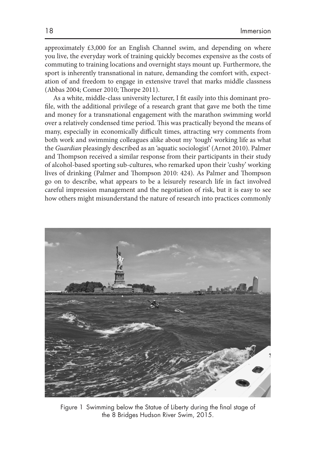approximately £3,000 for an English Channel swim, and depending on where you live, the everyday work of training quickly becomes expensive as the costs of commuting to training locations and overnight stays mount up. Furthermore, the sport is inherently transnational in nature, demanding the comfort with, expectation of and freedom to engage in extensive travel that marks middle classness (Abbas 2004; Comer 2010; Thorpe 2011).

As a white, middle-class university lecturer, I fit easily into this dominant profile, with the additional privilege of a research grant that gave me both the time and money for a transnational engagement with the marathon swimming world over a relatively condensed time period. This was practically beyond the means of many, especially in economically difficult times, attracting wry comments from both work and swimming colleagues alike about my 'tough' working life as what the *Guardian* pleasingly described as an 'aquatic sociologist' (Arnot 2010 ). Palmer and Thompson received a similar response from their participants in their study of alcohol-based sporting sub-cultures, who remarked upon their 'cushy' working lives of drinking (Palmer and Thompson 2010: 424). As Palmer and Thompson go on to describe, what appears to be a leisurely research life in fact involved careful impression management and the negotiation of risk, but it is easy to see how others might misunderstand the nature of research into practices commonly



Figure 1 Swimming below the Statue of Liberty during the final stage of the 8 Bridges Hudson River Swim, 2015.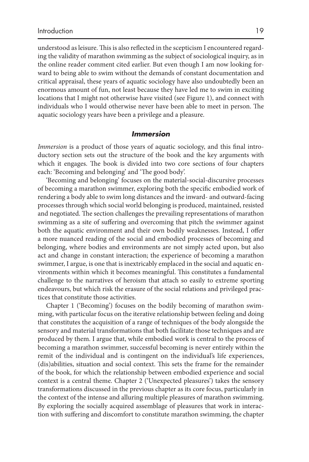understood as leisure. This is also reflected in the scepticism I encountered regarding the validity of marathon swimming as the subject of sociological inquiry, as in the online reader comment cited earlier. But even though I am now looking forward to being able to swim without the demands of constant documentation and critical appraisal, these years of aquatic sociology have also undoubtedly been an enormous amount of fun, not least because they have led me to swim in exciting locations that I might not otherwise have visited (see Figure 1 ), and connect with individuals who I would otherwise never have been able to meet in person. The aquatic sociology years have been a privilege and a pleasure.

### *Immersion*

*Immersion* is a product of those years of aquatic sociology, and this final introductory section sets out the structure of the book and the key arguments with which it engages. The book is divided into two core sections of four chapters each: 'Becoming and belonging' and 'The good body'.

 'Becoming and belonging' focuses on the material-social-discursive processes of becoming a marathon swimmer, exploring both the specific embodied work of rendering a body able to swim long distances and the inward- and outward-facing processes through which social world belonging is produced, maintained, resisted and negotiated. The section challenges the prevailing representations of marathon swimming as a site of suffering and overcoming that pitch the swimmer against both the aquatic environment and their own bodily weaknesses. Instead, I offer a more nuanced reading of the social and embodied processes of becoming and belonging, where bodies and environments are not simply acted upon, but also act and change in constant interaction; the experience of becoming a marathon swimmer, I argue, is one that is inextricably emplaced in the social and aquatic environments within which it becomes meaningful. This constitutes a fundamental challenge to the narratives of heroism that attach so easily to extreme sporting endeavours, but which risk the erasure of the social relations and privileged practices that constitute those activities.

 Chapter 1 ('Becoming') focuses on the bodily becoming of marathon swimming, with particular focus on the iterative relationship between feeling and doing that constitutes the acquisition of a range of techniques of the body alongside the sensory and material transformations that both facilitate those techniques and are produced by them. I argue that, while embodied work is central to the process of becoming a marathon swimmer, successful becoming is never entirely within the remit of the individual and is contingent on the individual's life experiences, (dis)abilities, situation and social context. This sets the frame for the remainder of the book, for which the relationship between embodied experience and social context is a central theme. Chapter 2 ('Unexpected pleasures') takes the sensory transformations discussed in the previous chapter as its core focus, particularly in the context of the intense and alluring multiple pleasures of marathon swimming. By exploring the socially acquired assemblage of pleasures that work in interaction with suffering and discomfort to constitute marathon swimming, the chapter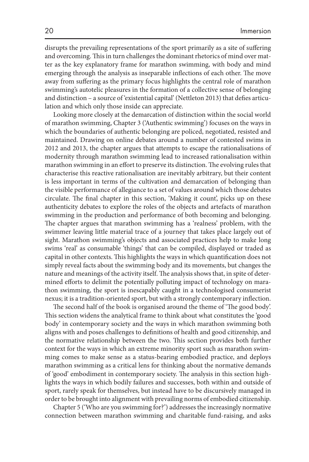disrupts the prevailing representations of the sport primarily as a site of suffering and overcoming. This in turn challenges the dominant rhetorics of mind over matter as the key explanatory frame for marathon swimming, with body and mind emerging through the analysis as inseparable inflections of each other. The move away from suffering as the primary focus highlights the central role of marathon swimming's autotelic pleasures in the formation of a collective sense of belonging and distinction – a source of 'existential capital' (Nettleton 2013) that defies articulation and which only those inside can appreciate.

 Looking more closely at the demarcation of distinction within the social world of marathon swimming, Chapter 3 ('Authentic swimming') focuses on the ways in which the boundaries of authentic belonging are policed, negotiated, resisted and maintained. Drawing on online debates around a number of contested swims in 2012 and 2013, the chapter argues that attempts to escape the rationalisations of modernity through marathon swimming lead to increased rationalisation within marathon swimming in an effort to preserve its distinction. The evolving rules that characterise this reactive rationalisation are inevitably arbitrary, but their content is less important in terms of the cultivation and demarcation of belonging than the visible performance of allegiance to a set of values around which those debates circulate. The final chapter in this section, 'Making it count', picks up on these authenticity debates to explore the roles of the objects and artefacts of marathon swimming in the production and performance of both becoming and belonging. The chapter argues that marathon swimming has a 'realness' problem, with the swimmer leaving little material trace of a journey that takes place largely out of sight. Marathon swimming's objects and associated practices help to make long swims 'real' as consumable 'things' that can be compiled, displayed or traded as capital in other contexts. This highlights the ways in which quantification does not simply reveal facts about the swimming body and its movements, but changes the nature and meanings of the activity itself. The analysis shows that, in spite of determined efforts to delimit the potentially polluting impact of technology on marathon swimming, the sport is inescapably caught in a technologised consumerist nexus; it is a tradition-oriented sport, but with a strongly contemporary inflection.

The second half of the book is organised around the theme of 'The good body'. This section widens the analytical frame to think about what constitutes the 'good body' in contemporary society and the ways in which marathon swimming both aligns with and poses challenges to definitions of health and good citizenship, and the normative relationship between the two. This section provides both further context for the ways in which an extreme minority sport such as marathon swimming comes to make sense as a status-bearing embodied practice, and deploys marathon swimming as a critical lens for thinking about the normative demands of 'good' embodiment in contemporary society. The analysis in this section highlights the ways in which bodily failures and successes, both within and outside of sport, rarely speak for themselves, but instead have to be discursively managed in order to be brought into alignment with prevailing norms of embodied citizenship.

 Chapter 5 ('Who are you swimming for?') addresses the increasingly normative connection between marathon swimming and charitable fund-raising, and asks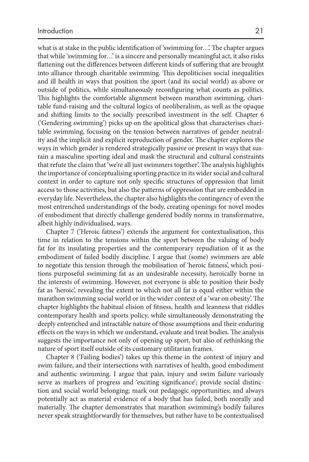what is at stake in the public identification of 'swimming for...'. The chapter argues that while 'swimming for…' is a sincere and personally meaningful act, it also risks flattening out the differences between different kinds of suffering that are brought into alliance through charitable swimming. This depoliticises social inequalities and ill health in ways that position the sport (and its social world) as above or outside of politics, while simultaneously reconfiguring what counts as politics. This highlights the comfortable alignment between marathon swimming, charitable fund-raising and the cultural logics of neoliberalism, as well as the opaque and shifting limits to the socially prescribed investment in the self. Chapter 6 ('Gendering swimming') picks up on the apolitical gloss that characterises charitable swimming, focusing on the tension between narratives of gender neutrality and the implicit and explicit reproduction of gender. The chapter explores the ways in which gender is rendered strategically passive or present in ways that sustain a masculine sporting ideal and mask the structural and cultural constraints that refute the claim that 'we're all just swimmers together'. The analysis highlights the importance of conceptualising sporting practice in its wider social and cultural context in order to capture not only specific structures of oppression that limit access to those activities, but also the patterns of oppression that are embedded in everyday life. Nevertheless, the chapter also highlights the contingency of even the most entrenched understandings of the body, creating openings for novel modes of embodiment that directly challenge gendered bodily norms in transformative, albeit highly individualised, ways.

 Chapter 7 ('Heroic fatness') extends the argument for contextualisation, this time in relation to the tensions within the sport between the valuing of body fat for its insulating properties and the contemporary repudiation of it as the embodiment of failed bodily discipline. I argue that (some) swimmers are able to negotiate this tension through the mobilisation of 'heroic fatness', which positions purposeful swimming fat as an undesirable necessity, heroically borne in the interests of swimming. However, not everyone is able to position their body fat as 'heroic', revealing the extent to which not all fat is equal either within the marathon swimming social world or in the wider context of a 'war on obesity'. The chapter highlights the habitual elision of fitness, health and leanness that riddles contemporary health and sports policy, while simultaneously demonstrating the deeply entrenched and intractable nature of those assumptions and their enduring effects on the ways in which we understand, evaluate and treat bodies. The analysis suggests the importance not only of opening up sport, but also of rethinking the nature of sport itself outside of its customary utilitarian frames.

 Chapter 8 ('Failing bodies') takes up this theme in the context of injury and swim failure, and their intersections with narratives of health, good embodiment and authentic swimming. I argue that pain, injury and swim failure variously serve as markers of progress and 'exciting significance'; provide social distinction and social world belonging; mark out pedagogic opportunities; and always potentially act as material evidence of a body that has failed, both morally and materially. The chapter demonstrates that marathon swimming's bodily failures never speak straightforwardly for themselves, but rather have to be contextualised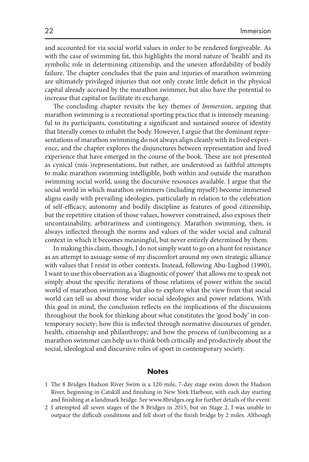and accounted for via social world values in order to be rendered forgiveable. As with the case of swimming fat, this highlights the moral nature of 'health' and its symbolic role in determining citizenship, and the uneven affordability of bodily failure. The chapter concludes that the pain and injuries of marathon swimming are ultimately privileged injuries that not only create little deficit in the physical capital already accrued by the marathon swimmer, but also have the potential to increase that capital or facilitate its exchange.

The concluding chapter revisits the key themes of *Immersion*, arguing that marathon swimming is a recreational sporting practice that is intensely meaningful to its participants, constituting a significant and sustained source of identity that literally comes to inhabit the body. However, I argue that the dominant representations of marathon swimming do not always align cleanly with its lived experience, and the chapter explores the disjunctures between representation and lived experience that have emerged in the course of the book. These are not presented as cynical (mis-)representations, but rather, are understood as faithful attempts to make marathon swimming intelligible, both within and outside the marathon swimming social world, using the discursive resources available. I argue that the social world in which marathon swimmers (including myself) become immersed aligns easily with prevailing ideologies, particularly in relation to the celebration of self-efficacy, autonomy and bodily discipline as features of good citizenship, but the repetitive citation of those values, however constrained, also exposes their uncontainability, arbitrariness and contingency. Marathon swimming, then, is always inflected through the norms and values of the wider social and cultural context in which it becomes meaningful, but never entirely determined by them.

 In making this claim, though, I do not simply want to go on a hunt for resistance as an attempt to assuage some of my discomfort around my own strategic alliance with values that I resist in other contexts. Instead, following Abu-Lughod (1990), I want to use this observation as a 'diagnostic of power' that allows me to speak not simply about the specific iterations of those relations of power within the social world of marathon swimming, but also to explore what the view from that social world can tell us about those wider social ideologies and power relations. With this goal in mind, the conclusion reflects on the implications of the discussions throughout the book for thinking about what constitutes the 'good body' in contemporary society; how this is inflected through normative discourses of gender, health, citizenship and philanthropy; and how the process of (un)becoming as a marathon swimmer can help us to think both critically and productively about the social, ideological and discursive roles of sport in contemporary society.

#### **Notes**

- 1 The 8 Bridges Hudson River Swim is a 120-mile, 7-day stage swim down the Hudson River, beginning in Catskill and finishing in New York Harbour, with each day starting and finishing at a landmark bridge. See www.8bridges.org for further details of the event.
- 2 I attempted all seven stages of the 8 Bridges in 2015, but on Stage 2, I was unable to outpace the difficult conditions and fell short of the finish bridge by 2 miles. Although